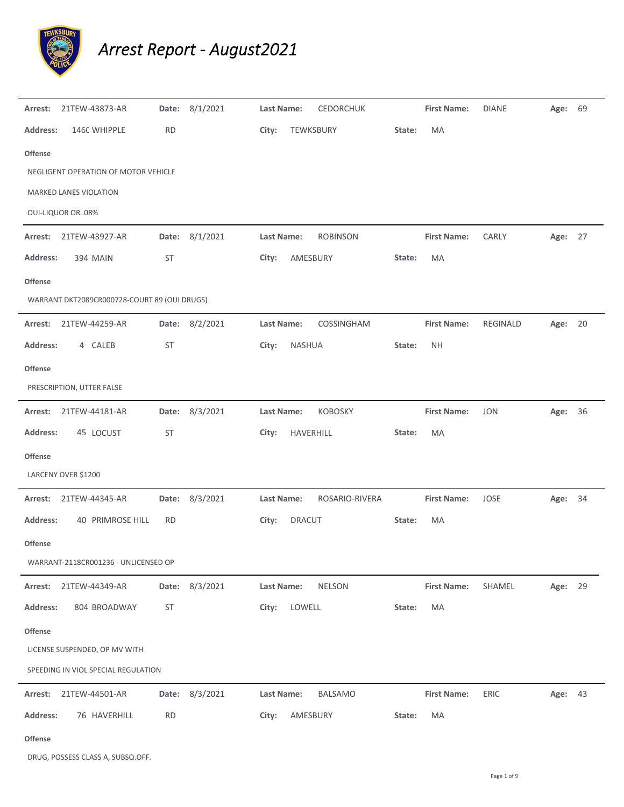

## *Arrest Report ‐ August2021*

| Arrest:         | 21TEW-43873-AR                               |           | Date: 8/1/2021 | <b>Last Name:</b> |               | <b>CEDORCHUK</b> |        | <b>First Name:</b> | <b>DIANE</b> | Age: 69 |    |
|-----------------|----------------------------------------------|-----------|----------------|-------------------|---------------|------------------|--------|--------------------|--------------|---------|----|
| <b>Address:</b> | 1460 WHIPPLE                                 | <b>RD</b> |                | City:             | TEWKSBURY     |                  | State: | MA                 |              |         |    |
| <b>Offense</b>  |                                              |           |                |                   |               |                  |        |                    |              |         |    |
|                 | NEGLIGENT OPERATION OF MOTOR VEHICLE         |           |                |                   |               |                  |        |                    |              |         |    |
|                 | MARKED LANES VIOLATION                       |           |                |                   |               |                  |        |                    |              |         |    |
|                 | <b>OUI-LIQUOR OR .08%</b>                    |           |                |                   |               |                  |        |                    |              |         |    |
| Arrest:         | 21TEW-43927-AR                               | Date:     | 8/1/2021       | Last Name:        |               | <b>ROBINSON</b>  |        | <b>First Name:</b> | CARLY        | Age:    | 27 |
| <b>Address:</b> | <b>394 MAIN</b>                              | ST        |                | City:             | AMESBURY      |                  | State: | MA                 |              |         |    |
| <b>Offense</b>  |                                              |           |                |                   |               |                  |        |                    |              |         |    |
|                 | WARRANT DKT2089CR000728-COURT 89 (OUI DRUGS) |           |                |                   |               |                  |        |                    |              |         |    |
| Arrest:         | 21TEW-44259-AR                               |           | Date: 8/2/2021 | Last Name:        |               | COSSINGHAM       |        | <b>First Name:</b> | REGINALD     | Age: 20 |    |
| <b>Address:</b> | 4 CALEB                                      | ST        |                | City:             | NASHUA        |                  | State: | NΗ                 |              |         |    |
| <b>Offense</b>  |                                              |           |                |                   |               |                  |        |                    |              |         |    |
|                 | PRESCRIPTION, UTTER FALSE                    |           |                |                   |               |                  |        |                    |              |         |    |
|                 | Arrest: 21TEW-44181-AR                       |           | Date: 8/3/2021 | Last Name:        |               | <b>KOBOSKY</b>   |        | <b>First Name:</b> | <b>JON</b>   | Age: 36 |    |
| <b>Address:</b> | 45 LOCUST                                    | ST        |                | City:             | HAVERHILL     |                  | State: | MA                 |              |         |    |
| <b>Offense</b>  |                                              |           |                |                   |               |                  |        |                    |              |         |    |
|                 | LARCENY OVER \$1200                          |           |                |                   |               |                  |        |                    |              |         |    |
|                 | Arrest: 21TEW-44345-AR                       |           | Date: 8/3/2021 | Last Name:        |               | ROSARIO-RIVERA   |        | <b>First Name:</b> | JOSE         | Age: 34 |    |
| <b>Address:</b> | <b>40 PRIMROSE HILL</b>                      | RD        |                | City:             | <b>DRACUT</b> |                  | State: | МA                 |              |         |    |
| <b>Offense</b>  |                                              |           |                |                   |               |                  |        |                    |              |         |    |
|                 | WARRANT-2118CR001236 - UNLICENSED OP         |           |                |                   |               |                  |        |                    |              |         |    |
| Arrest:         | 21TEW-44349-AR                               | Date:     | 8/3/2021       | Last Name:        |               | NELSON           |        | <b>First Name:</b> | SHAMEL       | Age: 29 |    |
| <b>Address:</b> | 804 BROADWAY                                 | ST        |                | City:             | LOWELL        |                  | State: | MA                 |              |         |    |
| Offense         |                                              |           |                |                   |               |                  |        |                    |              |         |    |
|                 | LICENSE SUSPENDED, OP MV WITH                |           |                |                   |               |                  |        |                    |              |         |    |
|                 | SPEEDING IN VIOL SPECIAL REGULATION          |           |                |                   |               |                  |        |                    |              |         |    |
| Arrest:         | 21TEW-44501-AR                               |           | Date: 8/3/2021 | Last Name:        |               | BALSAMO          |        | <b>First Name:</b> | ERIC         | Age: 43 |    |
| <b>Address:</b> | 76 HAVERHILL                                 | <b>RD</b> |                | City:             | AMESBURY      |                  | State: | MA                 |              |         |    |
| Offense         |                                              |           |                |                   |               |                  |        |                    |              |         |    |

DRUG, POSSESS CLASS A, SUBSQ.OFF.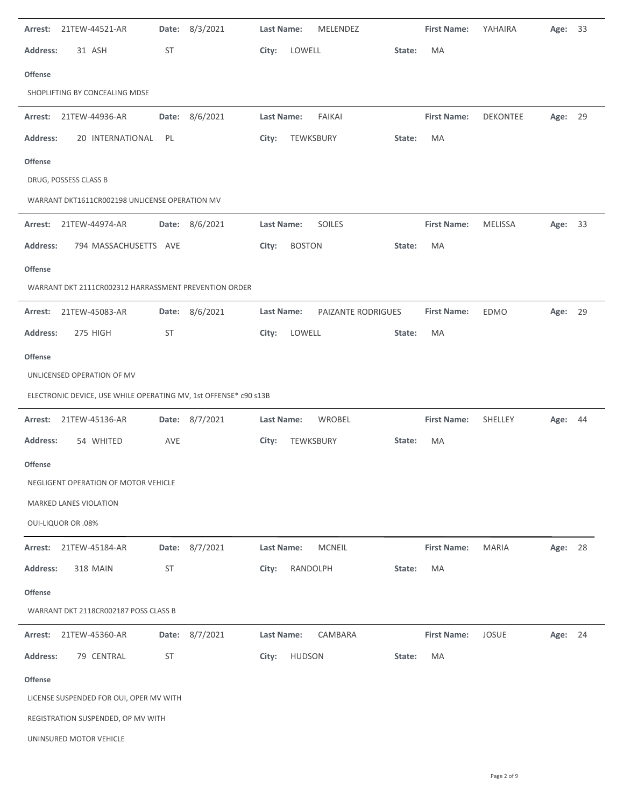| 21TEW-44521-AR<br>Arrest:                                        | Date: 8/3/2021 | MELENDEZ<br>Last Name:           | <b>First Name:</b> | YAHAIRA        | 33<br>Age: |
|------------------------------------------------------------------|----------------|----------------------------------|--------------------|----------------|------------|
| <b>Address:</b><br>31 ASH                                        | <b>ST</b>      | LOWELL<br>City:                  | MA<br>State:       |                |            |
| Offense                                                          |                |                                  |                    |                |            |
| SHOPLIFTING BY CONCEALING MDSE                                   |                |                                  |                    |                |            |
| Arrest: 21TEW-44936-AR                                           | Date: 8/6/2021 | Last Name:<br>FAIKAI             | <b>First Name:</b> | DEKONTEE       | Age: 29    |
| 20 INTERNATIONAL<br><b>Address:</b>                              | PL             | City:<br>TEWKSBURY               | State:<br>MA       |                |            |
| Offense                                                          |                |                                  |                    |                |            |
| DRUG, POSSESS CLASS B                                            |                |                                  |                    |                |            |
| WARRANT DKT1611CR002198 UNLICENSE OPERATION MV                   |                |                                  |                    |                |            |
| Arrest: 21TEW-44974-AR                                           | Date: 8/6/2021 | Last Name:<br>SOILES             | <b>First Name:</b> | <b>MELISSA</b> | Age: 33    |
| <b>Address:</b><br>794 MASSACHUSETTS AVE                         |                | <b>BOSTON</b><br>City:           | MA<br>State:       |                |            |
| Offense                                                          |                |                                  |                    |                |            |
| WARRANT DKT 2111CR002312 HARRASSMENT PREVENTION ORDER            |                |                                  |                    |                |            |
| 21TEW-45083-AR<br>Arrest:                                        | Date: 8/6/2021 | Last Name:<br>PAIZANTE RODRIGUES | <b>First Name:</b> | EDMO           | Age: 29    |
| 275 HIGH<br><b>Address:</b>                                      | ST             | LOWELL<br>City:                  | MA<br>State:       |                |            |
| <b>Offense</b>                                                   |                |                                  |                    |                |            |
| UNLICENSED OPERATION OF MV                                       |                |                                  |                    |                |            |
|                                                                  |                |                                  |                    |                |            |
| ELECTRONIC DEVICE, USE WHILE OPERATING MV, 1st OFFENSE* c90 s13B |                |                                  |                    |                |            |
| Arrest: 21TEW-45136-AR                                           | Date: 8/7/2021 | Last Name:<br>WROBEL             | <b>First Name:</b> | SHELLEY        | Age: 44    |
| 54 WHITED<br><b>Address:</b>                                     | AVE            | TEWKSBURY<br>City:               | State:<br>MA       |                |            |
| Offense                                                          |                |                                  |                    |                |            |
| NEGLIGENT OPERATION OF MOTOR VEHICLE                             |                |                                  |                    |                |            |
| MARKED LANES VIOLATION                                           |                |                                  |                    |                |            |
| <b>OUI-LIQUOR OR .08%</b>                                        |                |                                  |                    |                |            |
| 21TEW-45184-AR<br>Arrest:                                        | Date: 8/7/2021 | MCNEIL<br>Last Name:             | <b>First Name:</b> | <b>MARIA</b>   | Age: 28    |
| <b>318 MAIN</b><br><b>Address:</b>                               | <b>ST</b>      | RANDOLPH<br>City:                | MA<br>State:       |                |            |
| <b>Offense</b>                                                   |                |                                  |                    |                |            |
| WARRANT DKT 2118CR002187 POSS CLASS B                            |                |                                  |                    |                |            |
| 21TEW-45360-AR<br>Arrest:                                        | Date: 8/7/2021 | CAMBARA<br>Last Name:            | <b>First Name:</b> | <b>JOSUE</b>   | Age: 24    |
| 79 CENTRAL<br><b>Address:</b>                                    | <b>ST</b>      | <b>HUDSON</b><br>City:           | MA<br>State:       |                |            |
| <b>Offense</b>                                                   |                |                                  |                    |                |            |
| LICENSE SUSPENDED FOR OUI, OPER MV WITH                          |                |                                  |                    |                |            |
| REGISTRATION SUSPENDED, OP MV WITH                               |                |                                  |                    |                |            |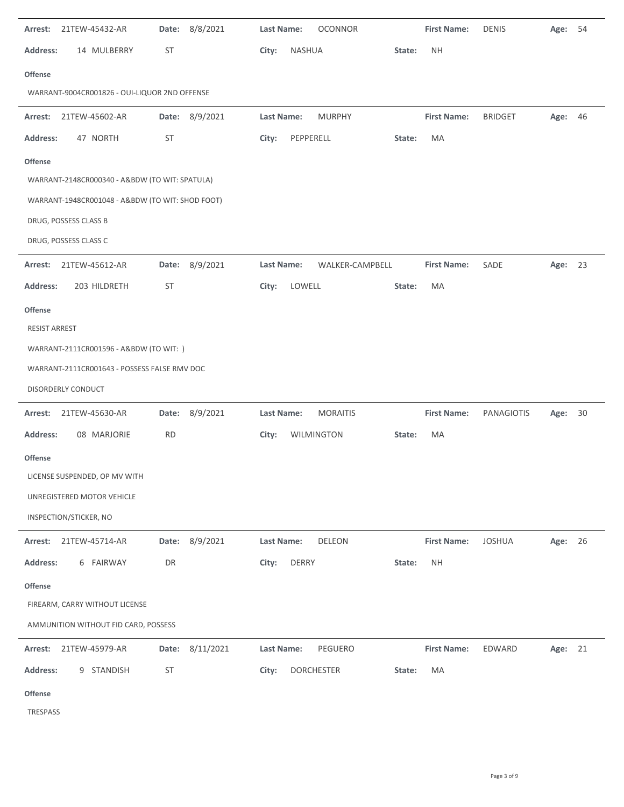| Arrest:<br>21TEW-45432-AR                        | Date: 8/8/2021  | <b>OCONNOR</b><br>Last Name:  | <b>First Name:</b>  | <b>DENIS</b>   | Age:<br>54 |
|--------------------------------------------------|-----------------|-------------------------------|---------------------|----------------|------------|
| <b>Address:</b><br>14 MULBERRY                   | ST              | City:<br><b>NASHUA</b>        | <b>NH</b><br>State: |                |            |
| <b>Offense</b>                                   |                 |                               |                     |                |            |
| WARRANT-9004CR001826 - OUI-LIQUOR 2ND OFFENSE    |                 |                               |                     |                |            |
| Arrest: 21TEW-45602-AR                           | Date: 8/9/2021  | <b>MURPHY</b><br>Last Name:   | <b>First Name:</b>  | <b>BRIDGET</b> | Age: 46    |
| <b>Address:</b><br>47 NORTH                      | ST              | PEPPERELL<br>City:            | MA<br>State:        |                |            |
| <b>Offense</b>                                   |                 |                               |                     |                |            |
| WARRANT-2148CR000340 - A&BDW (TO WIT: SPATULA)   |                 |                               |                     |                |            |
| WARRANT-1948CR001048 - A&BDW (TO WIT: SHOD FOOT) |                 |                               |                     |                |            |
| DRUG, POSSESS CLASS B                            |                 |                               |                     |                |            |
| DRUG, POSSESS CLASS C                            |                 |                               |                     |                |            |
| Arrest: 21TEW-45612-AR                           | Date: 8/9/2021  | Last Name:<br>WALKER-CAMPBELL | <b>First Name:</b>  | SADE           | Age: 23    |
| <b>Address:</b><br>203 HILDRETH                  | ST              | LOWELL<br>City:               | <b>MA</b><br>State: |                |            |
| <b>Offense</b>                                   |                 |                               |                     |                |            |
| <b>RESIST ARREST</b>                             |                 |                               |                     |                |            |
| WARRANT-2111CR001596 - A&BDW (TO WIT: )          |                 |                               |                     |                |            |
| WARRANT-2111CR001643 - POSSESS FALSE RMV DOC     |                 |                               |                     |                |            |
| DISORDERLY CONDUCT                               |                 |                               |                     |                |            |
| Arrest: 21TEW-45630-AR                           | Date: 8/9/2021  | Last Name:<br><b>MORAITIS</b> | <b>First Name:</b>  | PANAGIOTIS     | Age: 30    |
| 08 MARJORIE<br><b>Address:</b>                   | <b>RD</b>       | WILMINGTON<br>City:           | MA<br>State:        |                |            |
| <b>Offense</b>                                   |                 |                               |                     |                |            |
| LICENSE SUSPENDED, OP MV WITH                    |                 |                               |                     |                |            |
| UNREGISTERED MOTOR VEHICLE                       |                 |                               |                     |                |            |
| INSPECTION/STICKER, NO                           |                 |                               |                     |                |            |
| Arrest: 21TEW-45714-AR                           | Date: 8/9/2021  | <b>Last Name:</b><br>DELEON   | <b>First Name:</b>  | <b>JOSHUA</b>  | Age: 26    |
| <b>Address:</b><br>6 FAIRWAY                     | DR              | <b>DERRY</b><br>City:         | <b>NH</b><br>State: |                |            |
| <b>Offense</b>                                   |                 |                               |                     |                |            |
| FIREARM, CARRY WITHOUT LICENSE                   |                 |                               |                     |                |            |
| AMMUNITION WITHOUT FID CARD, POSSESS             |                 |                               |                     |                |            |
| Arrest: 21TEW-45979-AR                           | Date: 8/11/2021 | Last Name:<br>PEGUERO         | <b>First Name:</b>  | EDWARD         | Age: 21    |
| <b>Address:</b><br>9 STANDISH                    | <b>ST</b>       | City:<br><b>DORCHESTER</b>    | MA<br>State:        |                |            |
|                                                  |                 |                               |                     |                |            |
| <b>Offense</b><br>TRESPASS                       |                 |                               |                     |                |            |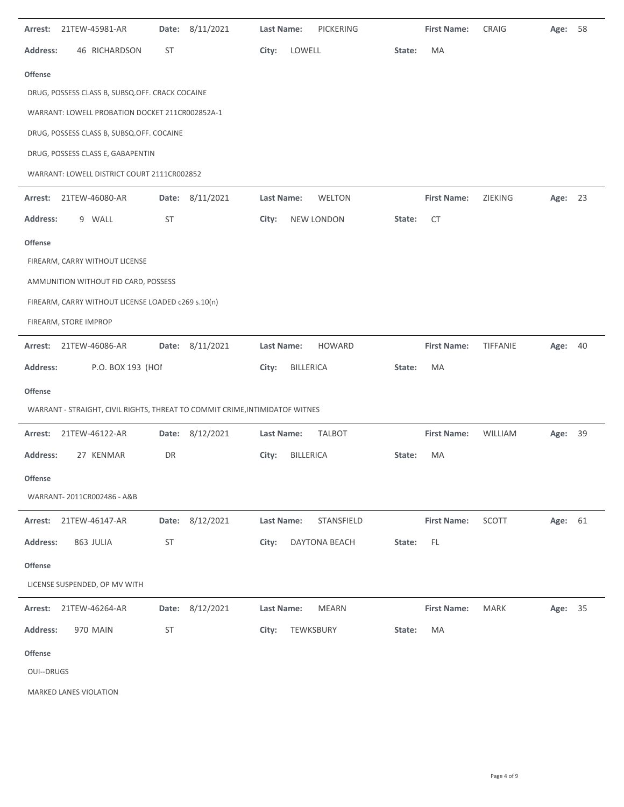| Arrest:           | 21TEW-45981-AR                                                               | Date:     | 8/11/2021       | Last Name:        | <b>PICKERING</b>  |        | <b>First Name:</b> | CRAIG       | Age:    | 58 |
|-------------------|------------------------------------------------------------------------------|-----------|-----------------|-------------------|-------------------|--------|--------------------|-------------|---------|----|
| <b>Address:</b>   | 46 RICHARDSON                                                                | ST        |                 | City:             | LOWELL            | State: | MA                 |             |         |    |
| <b>Offense</b>    |                                                                              |           |                 |                   |                   |        |                    |             |         |    |
|                   | DRUG, POSSESS CLASS B, SUBSQ.OFF. CRACK COCAINE                              |           |                 |                   |                   |        |                    |             |         |    |
|                   | WARRANT: LOWELL PROBATION DOCKET 211CR002852A-1                              |           |                 |                   |                   |        |                    |             |         |    |
|                   | DRUG, POSSESS CLASS B, SUBSQ.OFF. COCAINE                                    |           |                 |                   |                   |        |                    |             |         |    |
|                   | DRUG, POSSESS CLASS E, GABAPENTIN                                            |           |                 |                   |                   |        |                    |             |         |    |
|                   | WARRANT: LOWELL DISTRICT COURT 2111CR002852                                  |           |                 |                   |                   |        |                    |             |         |    |
| Arrest:           | 21TEW-46080-AR                                                               |           | Date: 8/11/2021 | Last Name:        | WELTON            |        | <b>First Name:</b> | ZIEKING     | Age: 23 |    |
| <b>Address:</b>   | 9 WALL                                                                       | ST        |                 | City:             | <b>NEW LONDON</b> | State: | <b>CT</b>          |             |         |    |
| <b>Offense</b>    |                                                                              |           |                 |                   |                   |        |                    |             |         |    |
|                   | FIREARM, CARRY WITHOUT LICENSE                                               |           |                 |                   |                   |        |                    |             |         |    |
|                   | AMMUNITION WITHOUT FID CARD, POSSESS                                         |           |                 |                   |                   |        |                    |             |         |    |
|                   | FIREARM, CARRY WITHOUT LICENSE LOADED c269 s.10(n)                           |           |                 |                   |                   |        |                    |             |         |    |
|                   | FIREARM, STORE IMPROP                                                        |           |                 |                   |                   |        |                    |             |         |    |
| Arrest:           | 21TEW-46086-AR                                                               |           | Date: 8/11/2021 | Last Name:        | <b>HOWARD</b>     |        | <b>First Name:</b> | TIFFANIE    | Age:    | 40 |
|                   |                                                                              |           |                 |                   |                   |        |                    |             |         |    |
| <b>Address:</b>   | P.O. BOX 193 (HOI                                                            |           |                 | City:             | <b>BILLERICA</b>  | State: | MA                 |             |         |    |
| <b>Offense</b>    |                                                                              |           |                 |                   |                   |        |                    |             |         |    |
|                   | WARRANT - STRAIGHT, CIVIL RIGHTS, THREAT TO COMMIT CRIME, INTIMIDATOF WITNES |           |                 |                   |                   |        |                    |             |         |    |
| Arrest:           | 21TEW-46122-AR                                                               |           | Date: 8/12/2021 | Last Name:        | <b>TALBOT</b>     |        | <b>First Name:</b> | WILLIAM     | Age:    | 39 |
| <b>Address:</b>   | 27 KENMAR                                                                    | DR        |                 | City:             | <b>BILLERICA</b>  | State: | MA                 |             |         |    |
| Offense           |                                                                              |           |                 |                   |                   |        |                    |             |         |    |
|                   | WARRANT- 2011CR002486 - A&B                                                  |           |                 |                   |                   |        |                    |             |         |    |
| Arrest:           | 21TEW-46147-AR                                                               | Date:     | 8/12/2021       | <b>Last Name:</b> | STANSFIELD        |        | <b>First Name:</b> | SCOTT       | Age: 61 |    |
| Address:          | 863 JULIA                                                                    | <b>ST</b> |                 | City:             | DAYTONA BEACH     | State: | $\mathsf{FL}$      |             |         |    |
| Offense           |                                                                              |           |                 |                   |                   |        |                    |             |         |    |
|                   | LICENSE SUSPENDED, OP MV WITH                                                |           |                 |                   |                   |        |                    |             |         |    |
| Arrest:           | 21TEW-46264-AR                                                               | Date:     | 8/12/2021       | Last Name:        | <b>MEARN</b>      |        | <b>First Name:</b> | <b>MARK</b> | Age:    | 35 |
| <b>Address:</b>   | 970 MAIN                                                                     | <b>ST</b> |                 | City:             | TEWKSBURY         | State: | МA                 |             |         |    |
| <b>Offense</b>    |                                                                              |           |                 |                   |                   |        |                    |             |         |    |
| <b>OUI--DRUGS</b> |                                                                              |           |                 |                   |                   |        |                    |             |         |    |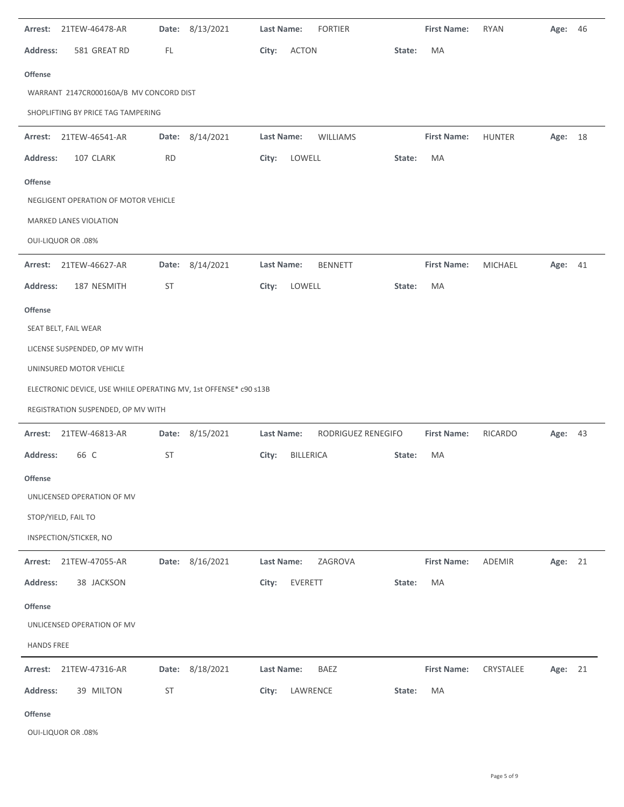| 21TEW-46478-AR<br>Arrest:                                        |                 | Date: 8/13/2021 | Last Name:        |                  | <b>FORTIER</b>     |        | <b>First Name:</b> | <b>RYAN</b>    | Age: 46 |  |
|------------------------------------------------------------------|-----------------|-----------------|-------------------|------------------|--------------------|--------|--------------------|----------------|---------|--|
| 581 GREAT RD<br><b>Address:</b>                                  | FL              |                 | City:             | <b>ACTON</b>     |                    | State: | MA                 |                |         |  |
| <b>Offense</b>                                                   |                 |                 |                   |                  |                    |        |                    |                |         |  |
| WARRANT 2147CR000160A/B MV CONCORD DIST                          |                 |                 |                   |                  |                    |        |                    |                |         |  |
| SHOPLIFTING BY PRICE TAG TAMPERING                               |                 |                 |                   |                  |                    |        |                    |                |         |  |
| 21TEW-46541-AR<br>Arrest:                                        | Date:           | 8/14/2021       | Last Name:        |                  | <b>WILLIAMS</b>    |        | <b>First Name:</b> | <b>HUNTER</b>  | Age: 18 |  |
| 107 CLARK<br><b>Address:</b>                                     | <b>RD</b>       |                 | City:             | LOWELL           |                    | State: | MA                 |                |         |  |
| <b>Offense</b>                                                   |                 |                 |                   |                  |                    |        |                    |                |         |  |
| NEGLIGENT OPERATION OF MOTOR VEHICLE                             |                 |                 |                   |                  |                    |        |                    |                |         |  |
| MARKED LANES VIOLATION                                           |                 |                 |                   |                  |                    |        |                    |                |         |  |
| <b>OUI-LIQUOR OR .08%</b>                                        |                 |                 |                   |                  |                    |        |                    |                |         |  |
| 21TEW-46627-AR<br>Arrest:                                        |                 | Date: 8/14/2021 | <b>Last Name:</b> |                  | <b>BENNETT</b>     |        | <b>First Name:</b> | <b>MICHAEL</b> | Age: 41 |  |
| 187 NESMITH<br><b>Address:</b>                                   | ST              |                 | City:             | LOWELL           |                    | State: | MA                 |                |         |  |
| <b>Offense</b>                                                   |                 |                 |                   |                  |                    |        |                    |                |         |  |
| SEAT BELT, FAIL WEAR                                             |                 |                 |                   |                  |                    |        |                    |                |         |  |
| LICENSE SUSPENDED, OP MV WITH                                    |                 |                 |                   |                  |                    |        |                    |                |         |  |
| UNINSURED MOTOR VEHICLE                                          |                 |                 |                   |                  |                    |        |                    |                |         |  |
| ELECTRONIC DEVICE, USE WHILE OPERATING MV, 1st OFFENSE* c90 s13B |                 |                 |                   |                  |                    |        |                    |                |         |  |
| REGISTRATION SUSPENDED, OP MV WITH                               |                 |                 |                   |                  |                    |        |                    |                |         |  |
| 21TEW-46813-AR<br>Arrest:                                        |                 | Date: 8/15/2021 | Last Name:        |                  | RODRIGUEZ RENEGIFO |        | <b>First Name:</b> | RICARDO        | Age: 43 |  |
| <b>Address:</b><br>66 C                                          | ST              |                 | City:             | <b>BILLERICA</b> |                    | State: | MA                 |                |         |  |
| Offense                                                          |                 |                 |                   |                  |                    |        |                    |                |         |  |
| UNLICENSED OPERATION OF MV                                       |                 |                 |                   |                  |                    |        |                    |                |         |  |
| STOP/YIELD, FAIL TO                                              |                 |                 |                   |                  |                    |        |                    |                |         |  |
|                                                                  |                 |                 |                   |                  |                    |        |                    |                |         |  |
| INSPECTION/STICKER, NO                                           |                 |                 |                   |                  |                    |        |                    |                |         |  |
| Arrest: 21TEW-47055-AR                                           |                 | Date: 8/16/2021 | Last Name:        |                  | ZAGROVA            |        | <b>First Name:</b> | ADEMIR         | Age: 21 |  |
| <b>Address:</b><br>38 JACKSON                                    |                 |                 | City:             | EVERETT          |                    | State: | MA                 |                |         |  |
| <b>Offense</b>                                                   |                 |                 |                   |                  |                    |        |                    |                |         |  |
| UNLICENSED OPERATION OF MV                                       |                 |                 |                   |                  |                    |        |                    |                |         |  |
| <b>HANDS FREE</b>                                                |                 |                 |                   |                  |                    |        |                    |                |         |  |
| Arrest: 21TEW-47316-AR                                           | Date:           | 8/18/2021       | Last Name:        |                  | BAEZ               |        | <b>First Name:</b> | CRYSTALEE      | Age: 21 |  |
| <b>Address:</b><br>39 MILTON                                     | $\mathsf{ST}\,$ |                 | City:             | LAWRENCE         |                    | State: | MA                 |                |         |  |

OUI‐LIQUOR OR .08%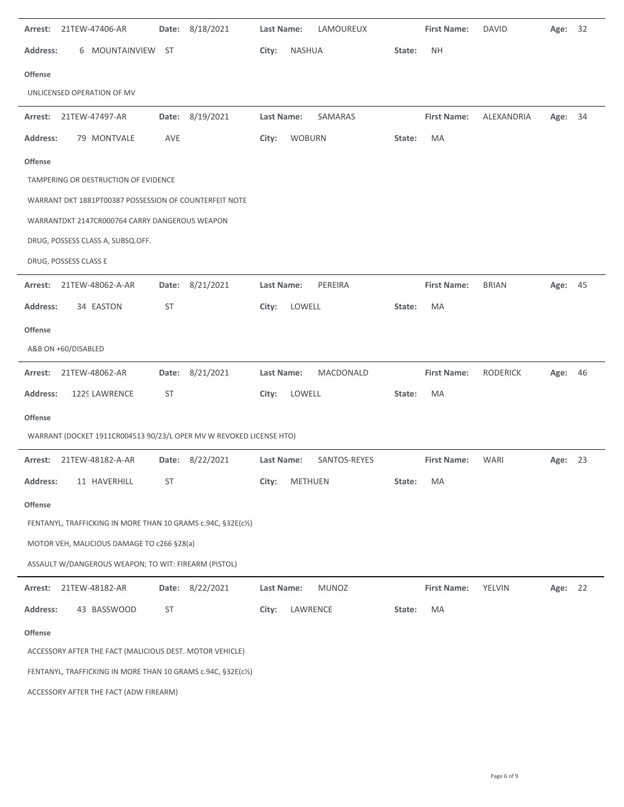| Arrest: 21TEW-47406-AR                 |                                                                     | Date: 8/18/2021 | Last Name: | LAMOUREUX     |        | <b>First Name:</b> | DAVID           | Age:    | 32 |
|----------------------------------------|---------------------------------------------------------------------|-----------------|------------|---------------|--------|--------------------|-----------------|---------|----|
| <b>Address:</b>                        | 6 MOUNTAINVIEW<br><b>ST</b>                                         |                 | City:      | <b>NASHUA</b> | State: | <b>NH</b>          |                 |         |    |
| <b>Offense</b>                         |                                                                     |                 |            |               |        |                    |                 |         |    |
| UNLICENSED OPERATION OF MV             |                                                                     |                 |            |               |        |                    |                 |         |    |
| Arrest:<br>21TEW-47497-AR              |                                                                     | Date: 8/19/2021 | Last Name: | SAMARAS       |        | <b>First Name:</b> | ALEXANDRIA      | Age:    | 34 |
| <b>Address:</b>                        | 79 MONTVALE<br>AVE                                                  |                 | City:      | <b>WOBURN</b> | State: | MA                 |                 |         |    |
| <b>Offense</b>                         |                                                                     |                 |            |               |        |                    |                 |         |    |
| TAMPERING OR DESTRUCTION OF EVIDENCE   |                                                                     |                 |            |               |        |                    |                 |         |    |
|                                        | WARRANT DKT 1881PT00387 POSSESSION OF COUNTERFEIT NOTE              |                 |            |               |        |                    |                 |         |    |
|                                        | WARRANTDKT 2147CR000764 CARRY DANGEROUS WEAPON                      |                 |            |               |        |                    |                 |         |    |
| DRUG, POSSESS CLASS A, SUBSQ.OFF.      |                                                                     |                 |            |               |        |                    |                 |         |    |
| DRUG, POSSESS CLASS E                  |                                                                     |                 |            |               |        |                    |                 |         |    |
| 21TEW-48062-A-AR<br>Arrest:            |                                                                     | Date: 8/21/2021 | Last Name: | PEREIRA       |        | <b>First Name:</b> | <b>BRIAN</b>    | Age:    | 45 |
| 34 EASTON<br><b>Address:</b>           | <b>ST</b>                                                           |                 | City:      | LOWELL        | State: | <b>MA</b>          |                 |         |    |
| <b>Offense</b>                         |                                                                     |                 |            |               |        |                    |                 |         |    |
| A&B ON +60/DISABLED                    |                                                                     |                 |            |               |        |                    |                 |         |    |
| 21TEW-48062-AR<br>Arrest:              |                                                                     | Date: 8/21/2021 | Last Name: | MACDONALD     |        | <b>First Name:</b> | <b>RODERICK</b> | Age:    | 46 |
| 1229 LAWRENCE<br><b>Address:</b>       | ST                                                                  |                 | City:      | LOWELL        | State: | MA                 |                 |         |    |
| <b>Offense</b>                         |                                                                     |                 |            |               |        |                    |                 |         |    |
|                                        | WARRANT (DOCKET 1911CR004513 90/23/L OPER MV W REVOKED LICENSE HTO) |                 |            |               |        |                    |                 |         |    |
| 21TEW-48182-A-AR<br>Arrest:            | Date:                                                               | 8/22/2021       | Last Name: | SANTOS-REYES  |        | <b>First Name:</b> | WARI            | Age:    | 23 |
| <b>Address:</b>                        | 11 HAVERHILL<br>ST                                                  |                 | City:      | METHUEN       | State: | MA                 |                 |         |    |
| <b>Offense</b>                         |                                                                     |                 |            |               |        |                    |                 |         |    |
|                                        | FENTANYL, TRAFFICKING IN MORE THAN 10 GRAMS c.94C, §32E(c1/2)       |                 |            |               |        |                    |                 |         |    |
|                                        | MOTOR VEH, MALICIOUS DAMAGE TO c266 §28(a)                          |                 |            |               |        |                    |                 |         |    |
|                                        | ASSAULT W/DANGEROUS WEAPON; TO WIT: FIREARM (PISTOL)                |                 |            |               |        |                    |                 |         |    |
| 21TEW-48182-AR<br>Arrest:              |                                                                     | Date: 8/22/2021 | Last Name: | <b>MUNOZ</b>  |        | <b>First Name:</b> | YELVIN          | Age: 22 |    |
| <b>Address:</b>                        | 43 BASSWOOD<br><b>ST</b>                                            |                 | City:      | LAWRENCE      | State: | MA                 |                 |         |    |
|                                        |                                                                     |                 |            |               |        |                    |                 |         |    |
| <b>Offense</b>                         | ACCESSORY AFTER THE FACT (MALICIOUS DEST. MOTOR VEHICLE)            |                 |            |               |        |                    |                 |         |    |
|                                        | FENTANYL, TRAFFICKING IN MORE THAN 10 GRAMS c.94C, §32E(c½)         |                 |            |               |        |                    |                 |         |    |
| ACCESSORY AFTER THE FACT (ADW FIREARM) |                                                                     |                 |            |               |        |                    |                 |         |    |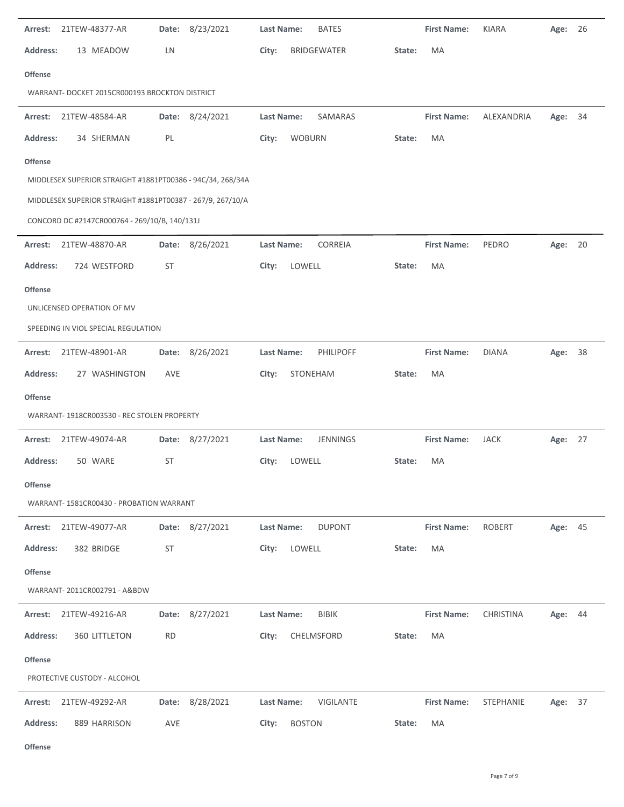|                 | Arrest: 21TEW-48377-AR                                     |           | Date: 8/23/2021 | Last Name: |               | <b>BATES</b>     |        | <b>First Name:</b> | <b>KIARA</b>  | Age:    | 26 |
|-----------------|------------------------------------------------------------|-----------|-----------------|------------|---------------|------------------|--------|--------------------|---------------|---------|----|
| <b>Address:</b> | 13 MEADOW                                                  | LN        |                 | City:      |               | BRIDGEWATER      | State: | MA                 |               |         |    |
| <b>Offense</b>  |                                                            |           |                 |            |               |                  |        |                    |               |         |    |
|                 | WARRANT- DOCKET 2015CR000193 BROCKTON DISTRICT             |           |                 |            |               |                  |        |                    |               |         |    |
|                 | Arrest: 21TEW-48584-AR                                     |           | Date: 8/24/2021 | Last Name: |               | SAMARAS          |        | <b>First Name:</b> | ALEXANDRIA    | Age: 34 |    |
| <b>Address:</b> | 34 SHERMAN                                                 | PL        |                 | City:      | <b>WOBURN</b> |                  | State: | MA                 |               |         |    |
| <b>Offense</b>  |                                                            |           |                 |            |               |                  |        |                    |               |         |    |
|                 | MIDDLESEX SUPERIOR STRAIGHT #1881PT00386 - 94C/34, 268/34A |           |                 |            |               |                  |        |                    |               |         |    |
|                 | MIDDLESEX SUPERIOR STRAIGHT #1881PT00387 - 267/9, 267/10/A |           |                 |            |               |                  |        |                    |               |         |    |
|                 | CONCORD DC #2147CR000764 - 269/10/B, 140/131J              |           |                 |            |               |                  |        |                    |               |         |    |
| Arrest:         | 21TEW-48870-AR                                             |           | Date: 8/26/2021 | Last Name: |               | CORREIA          |        | <b>First Name:</b> | PEDRO         | Age:    | 20 |
| <b>Address:</b> | 724 WESTFORD                                               | <b>ST</b> |                 | City:      | LOWELL        |                  | State: | MA                 |               |         |    |
| <b>Offense</b>  |                                                            |           |                 |            |               |                  |        |                    |               |         |    |
|                 | UNLICENSED OPERATION OF MV                                 |           |                 |            |               |                  |        |                    |               |         |    |
|                 | SPEEDING IN VIOL SPECIAL REGULATION                        |           |                 |            |               |                  |        |                    |               |         |    |
| Arrest:         | 21TEW-48901-AR                                             |           | Date: 8/26/2021 | Last Name: |               | PHILIPOFF        |        | <b>First Name:</b> | <b>DIANA</b>  | Age:    | 38 |
| <b>Address:</b> | 27 WASHINGTON                                              | AVE       |                 | City:      | STONEHAM      |                  | State: | MA                 |               |         |    |
| Offense         |                                                            |           |                 |            |               |                  |        |                    |               |         |    |
|                 | WARRANT-1918CR003530 - REC STOLEN PROPERTY                 |           |                 |            |               |                  |        |                    |               |         |    |
| Arrest:         | 21TEW-49074-AR                                             |           | Date: 8/27/2021 | Last Name: |               | <b>JENNINGS</b>  |        | <b>First Name:</b> | JACK          | Age: 27 |    |
| <b>Address:</b> | 50 WARE                                                    | ST        |                 | City:      | LOWELL        |                  | State: | MA                 |               |         |    |
| <b>Offense</b>  |                                                            |           |                 |            |               |                  |        |                    |               |         |    |
|                 | WARRANT-1581CR00430 - PROBATION WARRANT                    |           |                 |            |               |                  |        |                    |               |         |    |
|                 | Arrest: 21TEW-49077-AR                                     |           | Date: 8/27/2021 | Last Name: |               | <b>DUPONT</b>    |        | <b>First Name:</b> | <b>ROBERT</b> | Age: 45 |    |
| <b>Address:</b> | 382 BRIDGE                                                 | <b>ST</b> |                 | City:      | LOWELL        |                  | State: | MA                 |               |         |    |
| <b>Offense</b>  |                                                            |           |                 |            |               |                  |        |                    |               |         |    |
|                 | WARRANT- 2011CR002791 - A&BDW                              |           |                 |            |               |                  |        |                    |               |         |    |
| Arrest:         | 21TEW-49216-AR                                             | Date:     | 8/27/2021       | Last Name: |               | <b>BIBIK</b>     |        | <b>First Name:</b> | CHRISTINA     | Age: 44 |    |
| <b>Address:</b> | 360 LITTLETON                                              | RD        |                 | City:      |               | CHELMSFORD       | State: | MA                 |               |         |    |
| <b>Offense</b>  |                                                            |           |                 |            |               |                  |        |                    |               |         |    |
|                 | PROTECTIVE CUSTODY - ALCOHOL                               |           |                 |            |               |                  |        |                    |               |         |    |
| Arrest:         | 21TEW-49292-AR                                             |           | Date: 8/28/2021 | Last Name: |               | <b>VIGILANTE</b> |        | <b>First Name:</b> | STEPHANIE     | Age:    | 37 |
| <b>Address:</b> | 889 HARRISON                                               | AVE       |                 | City:      | <b>BOSTON</b> |                  | State: | MA                 |               |         |    |
|                 |                                                            |           |                 |            |               |                  |        |                    |               |         |    |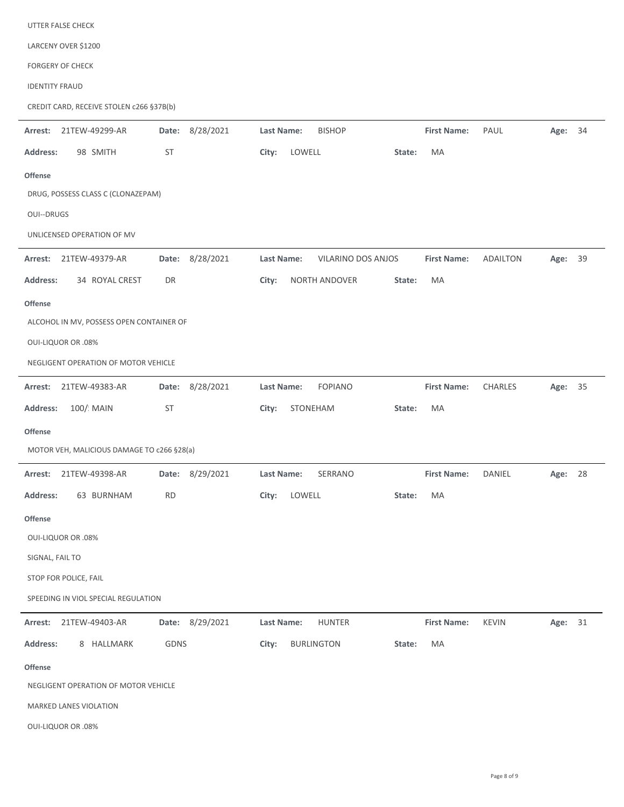| UTTER FALSE CHECK                          |                 |                                         |                    |                 |            |
|--------------------------------------------|-----------------|-----------------------------------------|--------------------|-----------------|------------|
| LARCENY OVER \$1200                        |                 |                                         |                    |                 |            |
| <b>FORGERY OF CHECK</b>                    |                 |                                         |                    |                 |            |
| <b>IDENTITY FRAUD</b>                      |                 |                                         |                    |                 |            |
| CREDIT CARD, RECEIVE STOLEN c266 §37B(b)   |                 |                                         |                    |                 |            |
| 21TEW-49299-AR<br>Arrest:                  | Date: 8/28/2021 | Last Name:<br><b>BISHOP</b>             | <b>First Name:</b> | PAUL            | Age: 34    |
| 98 SMITH<br><b>Address:</b>                | ST              | LOWELL<br>City:                         | MA<br>State:       |                 |            |
| Offense                                    |                 |                                         |                    |                 |            |
| DRUG, POSSESS CLASS C (CLONAZEPAM)         |                 |                                         |                    |                 |            |
| <b>OUI--DRUGS</b>                          |                 |                                         |                    |                 |            |
| UNLICENSED OPERATION OF MV                 |                 |                                         |                    |                 |            |
| 21TEW-49379-AR<br>Arrest:                  | Date: 8/28/2021 | <b>Last Name:</b><br>VILARINO DOS ANJOS | <b>First Name:</b> | <b>ADAILTON</b> | 39<br>Age: |
| Address:<br>34 ROYAL CREST                 | DR              | City:<br>NORTH ANDOVER                  | MA<br>State:       |                 |            |
| <b>Offense</b>                             |                 |                                         |                    |                 |            |
| ALCOHOL IN MV, POSSESS OPEN CONTAINER OF   |                 |                                         |                    |                 |            |
| <b>OUI-LIQUOR OR .08%</b>                  |                 |                                         |                    |                 |            |
| NEGLIGENT OPERATION OF MOTOR VEHICLE       |                 |                                         |                    |                 |            |
| 21TEW-49383-AR<br>Arrest:                  | Date: 8/28/2021 | Last Name:<br><b>FOPIANO</b>            | <b>First Name:</b> | <b>CHARLES</b>  | Age: 35    |
| 100/ MAIN<br><b>Address:</b>               | ST              | City:<br>STONEHAM                       | MA<br>State:       |                 |            |
| <b>Offense</b>                             |                 |                                         |                    |                 |            |
| MOTOR VEH, MALICIOUS DAMAGE TO c266 §28(a) |                 |                                         |                    |                 |            |
| 21TEW-49398-AR<br>Arrest:                  | Date: 8/29/2021 | Last Name:<br>SERRANO                   | <b>First Name:</b> | DANIEL          | 28<br>Age: |
| <b>Address:</b><br>63 BURNHAM              | <b>RD</b>       | LOWELL<br>City:                         | MA<br>State:       |                 |            |
| <b>Offense</b>                             |                 |                                         |                    |                 |            |
| <b>OUI-LIQUOR OR .08%</b>                  |                 |                                         |                    |                 |            |
| SIGNAL, FAIL TO                            |                 |                                         |                    |                 |            |
| STOP FOR POLICE, FAIL                      |                 |                                         |                    |                 |            |
| SPEEDING IN VIOL SPECIAL REGULATION        |                 |                                         |                    |                 |            |
| Arrest:<br>21TEW-49403-AR                  | Date: 8/29/2021 | <b>HUNTER</b><br>Last Name:             | <b>First Name:</b> | <b>KEVIN</b>    | Age: 31    |
| <b>Address:</b><br>8 HALLMARK              | GDNS            | <b>BURLINGTON</b><br>City:              | State:<br>МA       |                 |            |
| <b>Offense</b>                             |                 |                                         |                    |                 |            |
| NEGLIGENT OPERATION OF MOTOR VEHICLE       |                 |                                         |                    |                 |            |
| MARKED LANES VIOLATION                     |                 |                                         |                    |                 |            |

OUI‐LIQUOR OR .08%